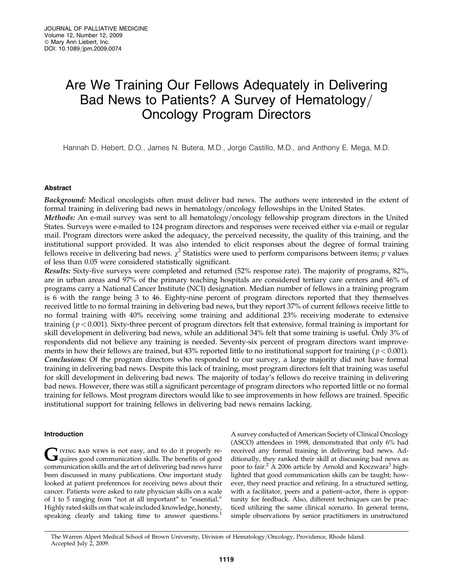# Are We Training Our Fellows Adequately in Delivering Bad News to Patients? A Survey of Hematology/ Oncology Program Directors

Hannah D. Hebert, D.O., James N. Butera, M.D., Jorge Castillo, M.D., and Anthony E. Mega, M.D.

## Abstract

Background: Medical oncologists often must deliver bad news. The authors were interested in the extent of formal training in delivering bad news in hematology/oncology fellowships in the United States.

Methods: An e-mail survey was sent to all hematology/oncology fellowship program directors in the United States. Surveys were e-mailed to 124 program directors and responses were received either via e-mail or regular mail. Program directors were asked the adequacy, the perceived necessity, the quality of this training, and the institutional support provided. It was also intended to elicit responses about the degree of formal training fellows receive in delivering bad news.  $\chi^2$  Statistics were used to perform comparisons between items; p values of less than 0.05 were considered statistically significant.

Results: Sixty-five surveys were completed and returned (52% response rate). The majority of programs, 82%, are in urban areas and 97% of the primary teaching hospitals are considered tertiary care centers and 46% of programs carry a National Cancer Institute (NCI) designation. Median number of fellows in a training program is 6 with the range being 3 to 46. Eighty-nine percent of program directors reported that they themselves received little to no formal training in delivering bad news, but they report 37% of current fellows receive little to no formal training with 40% receiving some training and additional 23% receiving moderate to extensive training ( $p < 0.001$ ). Sixty-three percent of program directors felt that extensive, formal training is important for skill development in delivering bad news, while an additional 34% felt that some training is useful. Only 3% of respondents did not believe any training is needed. Seventy-six percent of program directors want improvements in how their fellows are trained, but 43% reported little to no institutional support for training ( $p < 0.001$ ). Conclusions: Of the program directors who responded to our survey, a large majority did not have formal training in delivering bad news. Despite this lack of training, most program directors felt that training was useful for skill development in delivering bad news. The majority of today's fellows do receive training in delivering bad news. However, there was still a significant percentage of program directors who reported little or no formal training for fellows. Most program directors would like to see improvements in how fellows are trained. Specific institutional support for training fellows in delivering bad news remains lacking.

### Introduction

GIVING BAD NEWS is not easy, and to do it properly requires good communication skills. The benefits of good communication skills and the art of delivering bad news have been discussed in many publications. One important study looked at patient preferences for receiving news about their cancer. Patients were asked to rate physician skills on a scale of 1 to 5 ranging from ''not at all important'' to ''essential.'' Highly rated skills on that scale included knowledge, honesty, speaking clearly and taking time to answer questions.<sup>1</sup>

A survey conducted of American Society of Clinical Oncology (ASCO) attendees in 1998, demonstrated that only 6% had received any formal training in delivering bad news. Additionally, they ranked their skill at discussing bad news as poor to fair.<sup>2</sup> A 2006 article by Arnold and Koczwara<sup>3</sup> highlighted that good communication skills can be taught; however, they need practice and refining. In a structured setting, with a facilitator, peers and a patient–actor, there is opportunity for feedback. Also, different techniques can be practiced utilizing the same clinical scenario. In general terms, simple observations by senior practitioners in unstructured

The Warren Alpert Medical School of Brown University, Division of Hematology/Oncology, Providence, Rhode Island. Accepted July 2, 2009.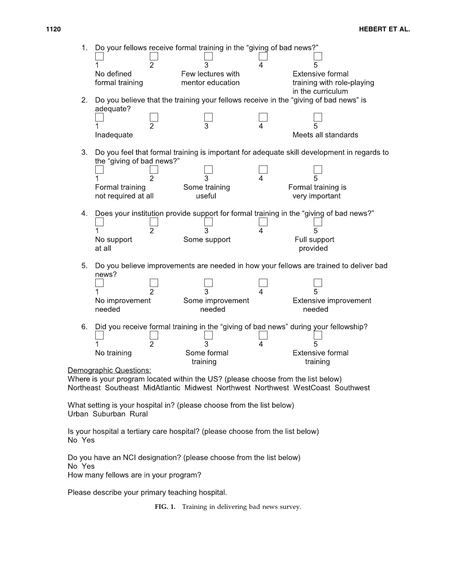| 1.                                                                                                                                                                  | $\overline{2}$<br>No defined<br>formal training                                                                         | Do your fellows receive formal training in the "giving of bad news?"<br>3<br>Few lectures with<br>mentor education |   | Extensive formal<br>training with role-playing |  |  |  |
|---------------------------------------------------------------------------------------------------------------------------------------------------------------------|-------------------------------------------------------------------------------------------------------------------------|--------------------------------------------------------------------------------------------------------------------|---|------------------------------------------------|--|--|--|
| 2.                                                                                                                                                                  | in the curriculum<br>Do you believe that the training your fellows receive in the "giving of bad news" is<br>adequate?  |                                                                                                                    |   |                                                |  |  |  |
|                                                                                                                                                                     | $\overline{2}$<br>Inadequate                                                                                            | 3                                                                                                                  | 4 | Meets all standards                            |  |  |  |
|                                                                                                                                                                     |                                                                                                                         |                                                                                                                    |   |                                                |  |  |  |
| 3.                                                                                                                                                                  | Do you feel that formal training is important for adequate skill development in regards to<br>the "giving of bad news?" |                                                                                                                    |   |                                                |  |  |  |
|                                                                                                                                                                     |                                                                                                                         |                                                                                                                    |   |                                                |  |  |  |
|                                                                                                                                                                     | Formal training<br>not required at all                                                                                  | Some training<br>useful                                                                                            |   | Formal training is<br>very important           |  |  |  |
| 4.                                                                                                                                                                  | $\overline{2}$<br>No support<br>at all                                                                                  | Does your institution provide support for formal training in the "giving of bad news?"<br>3<br>Some support        | 4 | 5<br>Full support<br>provided                  |  |  |  |
| 5.                                                                                                                                                                  | Do you believe improvements are needed in how your fellows are trained to deliver bad                                   |                                                                                                                    |   |                                                |  |  |  |
|                                                                                                                                                                     | news?<br>No improvement<br>needed                                                                                       | Some improvement<br>needed                                                                                         |   | Extensive improvement<br>needed                |  |  |  |
| 6.                                                                                                                                                                  | Did you receive formal training in the "giving of bad news" during your fellowship?                                     |                                                                                                                    |   |                                                |  |  |  |
|                                                                                                                                                                     | $\overline{2}$<br>No training                                                                                           | 3<br>Some formal<br>training                                                                                       | 4 | 5<br><b>Extensive formal</b><br>training       |  |  |  |
| Demographic Questions:                                                                                                                                              |                                                                                                                         |                                                                                                                    |   |                                                |  |  |  |
| Where is your program located within the US? (please choose from the list below)<br>Northeast Southeast MidAtlantic Midwest Northwest Northwest WestCoast Southwest |                                                                                                                         |                                                                                                                    |   |                                                |  |  |  |

What setting is your hospital in? (please choose from the list below) Urban Suburban Rural

Is your hospital a tertiary care hospital? (please choose from the list below) No Yes

Do you have an NCI designation? (please choose from the list below) No Yes How many fellows are in your program?

Please describe your primary teaching hospital.

FIG. 1. Training in delivering bad news survey.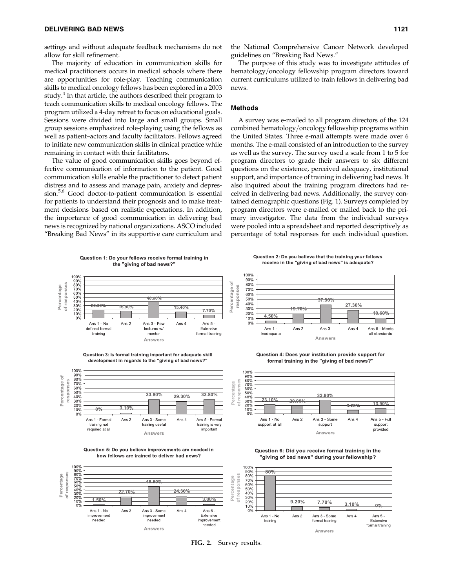$\begin{array}{c} 100\% \\ 90\% \\ 80\% \\ 70\% \\ 60\% \\ 90\% \\ 40\% \\ 20\% \\ 20\% \\ 10\% \\ 0\% \end{array}$ 

 $\begin{array}{c} 100\% \\ 90\% \\ 80\% \\ 70\% \\ 60\% \\ 50\% \\ 40\% \\ \hline \end{array}$ 

30%<br>30%<br>20%<br>10%

 $0%$ 

Percentage of responses Ans 1 - No

defined formal

training

no.

Ans 1 - Formal

training not<br>required at all

of responses Percentage

settings and without adequate feedback mechanisms do not allow for skill refinement.

The majority of education in communication skills for medical practitioners occurs in medical schools where there are opportunities for role-play. Teaching communication skills to medical oncology fellows has been explored in a 2003 study.<sup>4</sup> In that article, the authors described their program to teach communication skills to medical oncology fellows. The program utilized a 4-day retreat to focus on educational goals. Sessions were divided into large and small groups. Small group sessions emphasized role-playing using the fellows as well as patient–actors and faculty facilitators. Fellows agreed to initiate new communication skills in clinical practice while remaining in contact with their facilitators.

The value of good communication skills goes beyond effective communication of information to the patient. Good communication skills enable the practitioner to detect patient distress and to assess and manage pain, anxiety and depression.<sup>5,6</sup> Good doctor-to-patient communication is essential for patients to understand their prognosis and to make treatment decisions based on realistic expectations. In addition, the importance of good communication in delivering bad news is recognized by national organizations. ASCO included ''Breaking Bad News'' in its supportive care curriculum and

Question 1: Do your fellows receive formal training in the "giving of bad news?"

Ans 3 - Few

lectures w/

mentor

Answers

Ans 3 - Some

training usefu

Answers

Question 5: Do you believe improvements are needed in

how fellows are trained to deliver bad news?

Question 3: Is formal training important for adequate skill development in regards to the "giving of bad news?

15.40%

Ans 4

29.30%

Ans 4

Ans  $5 \cdot$ 

Extensive

formal training

Ans 5 - Forma

training is very

important

16.90%

Ans<sub>2</sub>

 $3.10^{o}$ 

Ans<sub>2</sub>

the National Comprehensive Cancer Network developed guidelines on ''Breaking Bad News.''

The purpose of this study was to investigate attitudes of hematology/oncology fellowship program directors toward current curriculums utilized to train fellows in delivering bad news.

#### Methods

A survey was e-mailed to all program directors of the 124 combined hematology/oncology fellowship programs within the United States. Three e-mail attempts were made over 6 months. The e-mail consisted of an introduction to the survey as well as the survey. The survey used a scale from 1 to 5 for program directors to grade their answers to six different questions on the existence, perceived adequacy, institutional support, and importance of training in delivering bad news. It also inquired about the training program directors had received in delivering bad news. Additionally, the survey contained demographic questions (Fig. 1). Surveys completed by program directors were e-mailed or mailed back to the primary investigator. The data from the individual surveys were pooled into a spreadsheet and reported descriptively as percentage of total responses for each individual question.



Question 2: Do you believe that the training your fellows

receive in the "giving of bad news" is adequate?

Question 4: Does your institution provide support for formal training in the "giving of bad news?"



Question 6: Did you receive formal training in the "giving of bad news" during your fellowship?



FIG. 2. Survey results.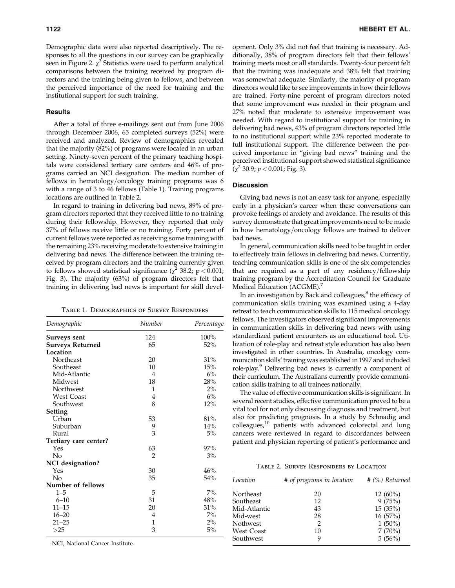Demographic data were also reported descriptively. The responses to all the questions in our survey can be graphically seen in Figure 2.  $\chi^2$  Statistics were used to perform analytical comparisons between the training received by program directors and the training being given to fellows, and between the perceived importance of the need for training and the institutional support for such training.

#### **Results**

After a total of three e-mailings sent out from June 2006 through December 2006, 65 completed surveys (52%) were received and analyzed. Review of demographics revealed that the majority (82%) of programs were located in an urban setting. Ninety-seven percent of the primary teaching hospitals were considered tertiary care centers and 46% of programs carried an NCI designation. The median number of fellows in hematology/oncology training programs was 6 with a range of 3 to 46 fellows (Table 1). Training programs locations are outlined in Table 2.

In regard to training in delivering bad news, 89% of program directors reported that they received little to no training during their fellowship. However, they reported that only 37% of fellows receive little or no training. Forty percent of current fellows were reported as receiving some training with the remaining 23% receiving moderate to extensive training in delivering bad news. The difference between the training received by program directors and the training currently given to fellows showed statistical significance ( $\chi^2$  38.2; p < 0.001; Fig. 3). The majority (63%) of program directors felt that training in delivering bad news is important for skill devel-

Table 1. Demographics of Survey Responders

| Demographic           | Number         | Percentage |
|-----------------------|----------------|------------|
| Surveys sent          | 124            | 100%       |
| Surveys Returned      | 65             | 52%        |
| Location              |                |            |
| Northeast             | 20             | 31%        |
| Southeast             | 10             | 15%        |
| Mid-Atlantic          | 4              | 6%         |
| Midwest               | 18             | 28%        |
| Northwest             | $\mathbf{1}$   | 2%         |
| <b>West Coast</b>     | $\overline{4}$ | 6%         |
| Southwest             | 8              | 12%        |
| Setting               |                |            |
| Urban                 | 53             | 81%        |
| Suburban              | 9              | 14%        |
| Rural                 | 3              | 5%         |
| Tertiary care center? |                |            |
| Yes                   | 63             | 97%        |
| No                    | $\overline{2}$ | 3%         |
| NCI designation?      |                |            |
| Yes                   | 30             | 46%        |
| No                    | 35             | 54%        |
| Number of fellows     |                |            |
| $1 - 5$               | 5              | 7%         |
| $6 - 10$              | 31             | 48%        |
| $11 - 15$             | 20             | 31%        |
| $16 - 20$             | 4              | 7%         |
| $21 - 25$             | $\mathbf{1}$   | $2\%$      |
| >25                   | 3              | 5%         |

NCI, National Cancer Institute.

opment. Only 3% did not feel that training is necessary. Additionally, 38% of program directors felt that their fellows' training meets most or all standards. Twenty-four percent felt that the training was inadequate and 38% felt that training was somewhat adequate. Similarly, the majority of program directors would like to see improvements in how their fellows are trained. Forty-nine percent of program directors noted that some improvement was needed in their program and 27% noted that moderate to extensive improvement was needed. With regard to institutional support for training in delivering bad news, 43% of program directors reported little to no institutional support while 23% reported moderate to full institutional support. The difference between the perceived importance in ''giving bad news'' training and the perceived institutional support showed statistical significance  $(\chi^2 30.9; p < 0.001; Fig. 3).$ 

#### Discussion

Giving bad news is not an easy task for anyone, especially early in a physician's career when these conversations can provoke feelings of anxiety and avoidance. The results of this survey demonstrate that great improvements need to be made in how hematology/oncology fellows are trained to deliver bad news.

In general, communication skills need to be taught in order to effectively train fellows in delivering bad news. Currently, teaching communication skills is one of the six competencies that are required as a part of any residency/fellowship training program by the Accreditation Council for Graduate Medical Education (ACGME).<sup>7</sup>

In an investigation by Back and colleagues,<sup>8</sup> the efficacy of communication skills training was examined using a 4-day retreat to teach communication skills to 115 medical oncology fellows. The investigators observed significant improvements in communication skills in delivering bad news with using standardized patient encounters as an educational tool. Utilization of role-play and retreat style education has also been investigated in other countries. In Australia, oncology communication skills' training was established in 1997 and included role-play.<sup>9</sup> Delivering bad news is currently a component of their curriculum. The Australians currently provide communication skills training to all trainees nationally.

The value of effective communication skills is significant. In several recent studies, effective communication proved to be a vital tool for not only discussing diagnosis and treatment, but also for predicting prognosis. In a study by Schnadig and colleagues, $10$  patients with advanced colorectal and lung cancers were reviewed in regard to discordances between patient and physician reporting of patient's performance and

Table 2. Survey Responders by Location

| Location          | # of programs in location | # (%) Returned |
|-------------------|---------------------------|----------------|
| Northeast         | 20                        | $12(60\%)$     |
| Southeast         | 12                        | 9(75%)         |
| Mid-Atlantic      | 43                        | 15(35%)        |
| Mid-west          | 28                        | 16(57%)        |
| Nothwest          | 2                         | $1(50\%)$      |
| <b>West Coast</b> | 10                        | 7(70%)         |
| Southwest         | 9                         | 5(56%)         |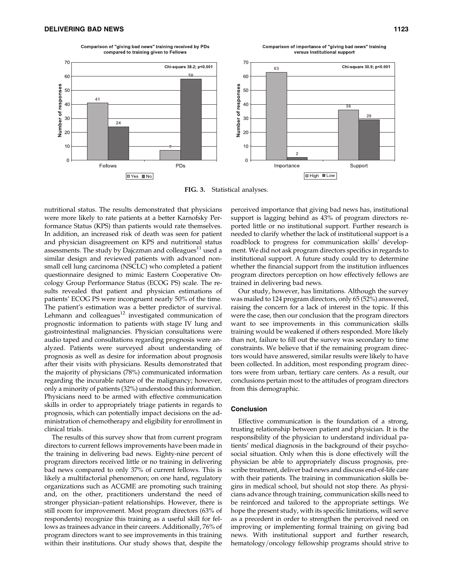Comparison of "giving bad news" training received by PDs compared to training given to Fellows





FIG. 3. Statistical analyses.

nutritional status. The results demonstrated that physicians were more likely to rate patients at a better Karnofsky Performance Status (KPS) than patients would rate themselves. In addition, an increased risk of death was seen for patient and physician disagreement on KPS and nutritional status assessments. The study by Dajczman and colleagues $^{11}$  used a similar design and reviewed patients with advanced nonsmall cell lung carcinoma (NSCLC) who completed a patient questionnaire designed to mimic Eastern Cooperative Oncology Group Performance Status (ECOG PS) scale. The results revealed that patient and physician estimations of patients' ECOG PS were incongruent nearly 50% of the time. The patient's estimation was a better predictor of survival. Lehmann and colleagues $12$  investigated communication of prognostic information to patients with stage IV lung and gastrointestinal malignancies. Physician consultations were audio taped and consultations regarding prognosis were analyzed. Patients were surveyed about understanding of prognosis as well as desire for information about prognosis after their visits with physicians. Results demonstrated that the majority of physicians (78%) communicated information regarding the incurable nature of the malignancy; however, only a minority of patients (32%) understood this information. Physicians need to be armed with effective communication skills in order to appropriately triage patients in regards to prognosis, which can potentially impact decisions on the administration of chemotherapy and eligibility for enrollment in clinical trials.

The results of this survey show that from current program directors to current fellows improvements have been made in the training in delivering bad news. Eighty-nine percent of program directors received little or no training in delivering bad news compared to only 37% of current fellows. This is likely a multifactorial phenomenon; on one hand, regulatory organizations such as ACGME are promoting such training and, on the other, practitioners understand the need of stronger physician–patient relationships. However, there is still room for improvement. Most program directors (63% of respondents) recognize this training as a useful skill for fellows as trainees advance in their careers. Additionally, 76% of program directors want to see improvements in this training within their institutions. Our study shows that, despite the

perceived importance that giving bad news has, institutional support is lagging behind as 43% of program directors reported little or no institutional support. Further research is needed to clarify whether the lack of institutional support is a roadblock to progress for communication skills' development. We did not ask program directors specifics in regards to institutional support. A future study could try to determine whether the financial support from the institution influences program directors perception on how effectively fellows are trained in delivering bad news.

Our study, however, has limitations. Although the survey was mailed to 124 program directors, only 65 (52%) answered, raising the concern for a lack of interest in the topic. If this were the case, then our conclusion that the program directors want to see improvements in this communication skills training would be weakened if others responded. More likely than not, failure to fill out the survey was secondary to time constraints. We believe that if the remaining program directors would have answered, similar results were likely to have been collected. In addition, most responding program directors were from urban, tertiary care centers. As a result, our conclusions pertain most to the attitudes of program directors from this demographic.

#### Conclusion

Effective communication is the foundation of a strong, trusting relationship between patient and physician. It is the responsibility of the physician to understand individual patients' medical diagnosis in the background of their psychosocial situation. Only when this is done effectively will the physician be able to appropriately discuss prognosis, prescribe treatment, deliver bad news and discuss end-of-life care with their patients. The training in communication skills begins in medical school, but should not stop there. As physicians advance through training, communication skills need to be reinforced and tailored to the appropriate settings. We hope the present study, with its specific limitations, will serve as a precedent in order to strengthen the perceived need on improving or implementing formal training on giving bad news. With institutional support and further research, hematology/oncology fellowship programs should strive to